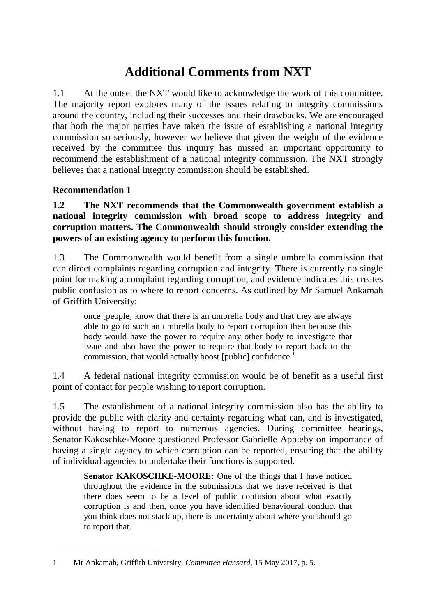# **Additional Comments from NXT**

1.1 At the outset the NXT would like to acknowledge the work of this committee. The majority report explores many of the issues relating to integrity commissions around the country, including their successes and their drawbacks. We are encouraged that both the major parties have taken the issue of establishing a national integrity commission so seriously, however we believe that given the weight of the evidence received by the committee this inquiry has missed an important opportunity to recommend the establishment of a national integrity commission. The NXT strongly believes that a national integrity commission should be established.

# **Recommendation 1**

 $\overline{a}$ 

**1.2 The NXT recommends that the Commonwealth government establish a national integrity commission with broad scope to address integrity and corruption matters. The Commonwealth should strongly consider extending the powers of an existing agency to perform this function.**

1.3 The Commonwealth would benefit from a single umbrella commission that can direct complaints regarding corruption and integrity. There is currently no single point for making a complaint regarding corruption, and evidence indicates this creates public confusion as to where to report concerns. As outlined by Mr Samuel Ankamah of Griffith University:

once [people] know that there is an umbrella body and that they are always able to go to such an umbrella body to report corruption then because this body would have the power to require any other body to investigate that issue and also have the power to require that body to report back to the commission, that would actually boost [public] confidence.<sup>1</sup>

1.4 A federal national integrity commission would be of benefit as a useful first point of contact for people wishing to report corruption.

1.5 The establishment of a national integrity commission also has the ability to provide the public with clarity and certainty regarding what can, and is investigated, without having to report to numerous agencies. During committee hearings, Senator Kakoschke-Moore questioned Professor Gabrielle Appleby on importance of having a single agency to which corruption can be reported, ensuring that the ability of individual agencies to undertake their functions is supported.

**Senator KAKOSCHKE-MOORE:** One of the things that I have noticed throughout the evidence in the submissions that we have received is that there does seem to be a level of public confusion about what exactly corruption is and then, once you have identified behavioural conduct that you think does not stack up, there is uncertainty about where you should go to report that.

<sup>1</sup> Mr Ankamah, Griffith University, *Committee Hansard*, 15 May 2017, p. 5.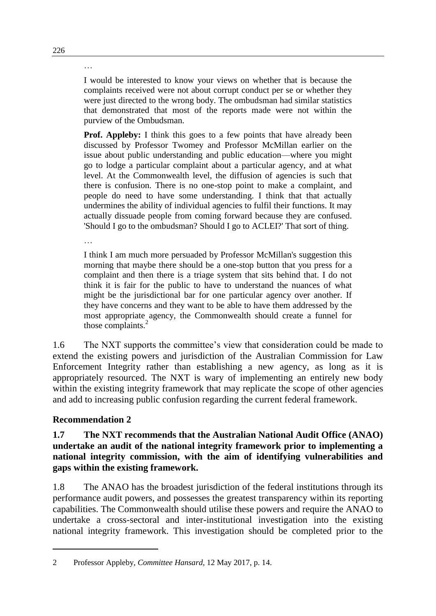I would be interested to know your views on whether that is because the complaints received were not about corrupt conduct per se or whether they were just directed to the wrong body. The ombudsman had similar statistics that demonstrated that most of the reports made were not within the purview of the Ombudsman.

**Prof. Appleby:** I think this goes to a few points that have already been discussed by Professor Twomey and Professor McMillan earlier on the issue about public understanding and public education—where you might go to lodge a particular complaint about a particular agency, and at what level. At the Commonwealth level, the diffusion of agencies is such that there is confusion. There is no one-stop point to make a complaint, and people do need to have some understanding. I think that that actually undermines the ability of individual agencies to fulfil their functions. It may actually dissuade people from coming forward because they are confused. 'Should I go to the ombudsman? Should I go to ACLEI?' That sort of thing.

…

I think I am much more persuaded by Professor McMillan's suggestion this morning that maybe there should be a one-stop button that you press for a complaint and then there is a triage system that sits behind that. I do not think it is fair for the public to have to understand the nuances of what might be the jurisdictional bar for one particular agency over another. If they have concerns and they want to be able to have them addressed by the most appropriate agency, the Commonwealth should create a funnel for those complaints. $<sup>2</sup>$ </sup>

1.6 The NXT supports the committee's view that consideration could be made to extend the existing powers and jurisdiction of the Australian Commission for Law Enforcement Integrity rather than establishing a new agency, as long as it is appropriately resourced. The NXT is wary of implementing an entirely new body within the existing integrity framework that may replicate the scope of other agencies and add to increasing public confusion regarding the current federal framework.

# **Recommendation 2**

 $\overline{a}$ 

#### **1.7 The NXT recommends that the Australian National Audit Office (ANAO) undertake an audit of the national integrity framework prior to implementing a national integrity commission, with the aim of identifying vulnerabilities and gaps within the existing framework.**

1.8 The ANAO has the broadest jurisdiction of the federal institutions through its performance audit powers, and possesses the greatest transparency within its reporting capabilities. The Commonwealth should utilise these powers and require the ANAO to undertake a cross-sectoral and inter-institutional investigation into the existing national integrity framework. This investigation should be completed prior to the

…

<sup>2</sup> Professor Appleby, *Committee Hansard*, 12 May 2017, p. 14.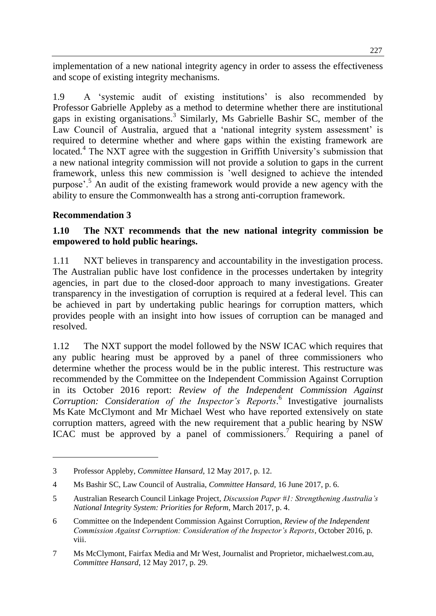implementation of a new national integrity agency in order to assess the effectiveness and scope of existing integrity mechanisms.

1.9 A 'systemic audit of existing institutions' is also recommended by Professor Gabrielle Appleby as a method to determine whether there are institutional gaps in existing organisations.<sup>3</sup> Similarly, Ms Gabrielle Bashir SC, member of the Law Council of Australia, argued that a 'national integrity system assessment' is required to determine whether and where gaps within the existing framework are located.<sup>4</sup> The NXT agree with the suggestion in Griffith University's submission that a new national integrity commission will not provide a solution to gaps in the current framework, unless this new commission is 'well designed to achieve the intended purpose'.<sup>5</sup> An audit of the existing framework would provide a new agency with the ability to ensure the Commonwealth has a strong anti-corruption framework.

## **Recommendation 3**

 $\overline{a}$ 

## **1.10 The NXT recommends that the new national integrity commission be empowered to hold public hearings.**

1.11 NXT believes in transparency and accountability in the investigation process. The Australian public have lost confidence in the processes undertaken by integrity agencies, in part due to the closed-door approach to many investigations. Greater transparency in the investigation of corruption is required at a federal level. This can be achieved in part by undertaking public hearings for corruption matters, which provides people with an insight into how issues of corruption can be managed and resolved.

1.12 The NXT support the model followed by the NSW ICAC which requires that any public hearing must be approved by a panel of three commissioners who determine whether the process would be in the public interest. This restructure was recommended by the Committee on the Independent Commission Against Corruption in its October 2016 report: *Review of the Independent Commission Against Corruption: Consideration of the Inspector's Reports*. 6 Investigative journalists Ms Kate McClymont and Mr Michael West who have reported extensively on state corruption matters, agreed with the new requirement that a public hearing by NSW ICAC must be approved by a panel of commissioners.<sup>7</sup> Requiring a panel of

<sup>3</sup> Professor Appleby, *Committee Hansard*, 12 May 2017, p. 12.

<sup>4</sup> Ms Bashir SC, Law Council of Australia, *Committee Hansard*, 16 June 2017, p. 6.

<sup>5</sup> Australian Research Council Linkage Project, *Discussion Paper #1: Strengthening Australia's National Integrity System: Priorities for Reform*, March 2017, p. 4.

<sup>6</sup> Committee on the Independent Commission Against Corruption, *Review of the Independent Commission Against Corruption: Consideration of the Inspector's Reports*, October 2016, p. viii.

<sup>7</sup> Ms McClymont, Fairfax Media and Mr West, Journalist and Proprietor, michaelwest.com.au, *Committee Hansard*, 12 May 2017, p. 29.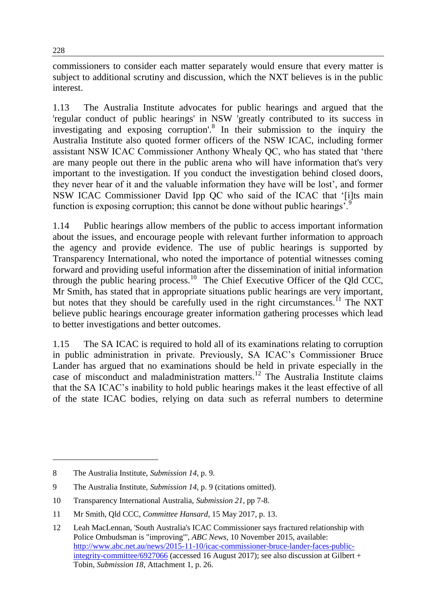commissioners to consider each matter separately would ensure that every matter is subject to additional scrutiny and discussion, which the NXT believes is in the public interest.

1.13 The Australia Institute advocates for public hearings and argued that the 'regular conduct of public hearings' in NSW 'greatly contributed to its success in investigating and exposing corruption'.<sup>8</sup> In their submission to the inquiry the Australia Institute also quoted former officers of the NSW ICAC, including former assistant NSW ICAC Commissioner Anthony Whealy QC, who has stated that 'there are many people out there in the public arena who will have information that's very important to the investigation. If you conduct the investigation behind closed doors, they never hear of it and the valuable information they have will be lost', and former NSW ICAC Commissioner David Ipp QC who said of the ICAC that '[i]ts main function is exposing corruption; this cannot be done without public hearings'.<sup>9</sup>

1.14 Public hearings allow members of the public to access important information about the issues, and encourage people with relevant further information to approach the agency and provide evidence. The use of public hearings is supported by Transparency International, who noted the importance of potential witnesses coming forward and providing useful information after the dissemination of initial information through the public hearing process.<sup>10</sup> The Chief Executive Officer of the Qld CCC, Mr Smith, has stated that in appropriate situations public hearings are very important, but notes that they should be carefully used in the right circumstances.<sup>11</sup> The NXT believe public hearings encourage greater information gathering processes which lead to better investigations and better outcomes.

1.15 The SA ICAC is required to hold all of its examinations relating to corruption in public administration in private. Previously, SA ICAC's Commissioner Bruce Lander has argued that no examinations should be held in private especially in the case of misconduct and maladministration matters.<sup>12</sup> The Australia Institute claims that the SA ICAC's inability to hold public hearings makes it the least effective of all of the state ICAC bodies, relying on data such as referral numbers to determine

<sup>8</sup> The Australia Institute, *Submission 14*, p. 9.

<sup>9</sup> The Australia Institute, *Submission 14*, p. 9 (citations omitted).

<sup>10</sup> Transparency International Australia, *Submission 21*, pp 7-8.

<sup>11</sup> Mr Smith, Qld CCC, *Committee Hansard*, 15 May 2017, p. 13.

<sup>12</sup> Leah MacLennan, 'South Australia's ICAC Commissioner says fractured relationship with Police Ombudsman is "improving"', *ABC News*, 10 November 2015, available: [http://www.abc.net.au/news/2015-11-10/icac-commissioner-bruce-lander-faces-public](http://www.abc.net.au/news/2015-11-10/icac-commissioner-bruce-lander-faces-public-integrity-committee/6927066)[integrity-committee/6927066](http://www.abc.net.au/news/2015-11-10/icac-commissioner-bruce-lander-faces-public-integrity-committee/6927066) (accessed 16 August 2017); see also discussion at Gilbert + Tobin, *Submission 18*, Attachment 1, p. 26.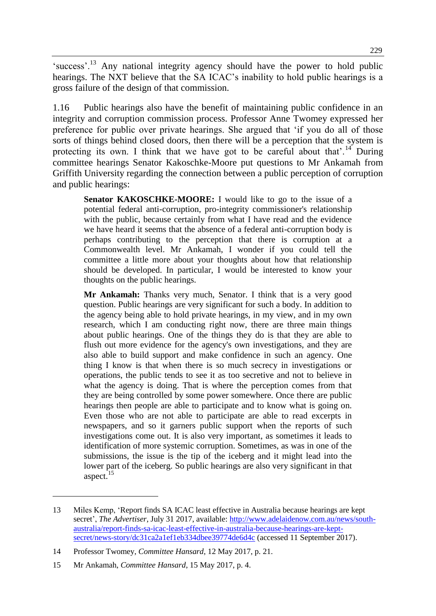'success'.<sup>13</sup> Any national integrity agency should have the power to hold public hearings. The NXT believe that the SA ICAC's inability to hold public hearings is a gross failure of the design of that commission.

1.16 Public hearings also have the benefit of maintaining public confidence in an integrity and corruption commission process. Professor Anne Twomey expressed her preference for public over private hearings. She argued that 'if you do all of those sorts of things behind closed doors, then there will be a perception that the system is protecting its own. I think that we have got to be careful about that  $14$  During committee hearings Senator Kakoschke-Moore put questions to Mr Ankamah from Griffith University regarding the connection between a public perception of corruption and public hearings:

**Senator KAKOSCHKE-MOORE:** I would like to go to the issue of a potential federal anti-corruption, pro-integrity commissioner's relationship with the public, because certainly from what I have read and the evidence we have heard it seems that the absence of a federal anti-corruption body is perhaps contributing to the perception that there is corruption at a Commonwealth level. Mr Ankamah, I wonder if you could tell the committee a little more about your thoughts about how that relationship should be developed. In particular, I would be interested to know your thoughts on the public hearings.

**Mr Ankamah:** Thanks very much, Senator. I think that is a very good question. Public hearings are very significant for such a body. In addition to the agency being able to hold private hearings, in my view, and in my own research, which I am conducting right now, there are three main things about public hearings. One of the things they do is that they are able to flush out more evidence for the agency's own investigations, and they are also able to build support and make confidence in such an agency. One thing I know is that when there is so much secrecy in investigations or operations, the public tends to see it as too secretive and not to believe in what the agency is doing. That is where the perception comes from that they are being controlled by some power somewhere. Once there are public hearings then people are able to participate and to know what is going on. Even those who are not able to participate are able to read excerpts in newspapers, and so it garners public support when the reports of such investigations come out. It is also very important, as sometimes it leads to identification of more systemic corruption. Sometimes, as was in one of the submissions, the issue is the tip of the iceberg and it might lead into the lower part of the iceberg. So public hearings are also very significant in that aspect.<sup>15</sup>

<sup>13</sup> Miles Kemp, 'Report finds SA ICAC least effective in Australia because hearings are kept secret', *The Advertiser*, July 31 2017, available: [http://www.adelaidenow.com.au/news/south](http://www.adelaidenow.com.au/news/south-australia/report-finds-sa-icac-least-effective-in-australia-because-hearings-are-kept-secret/news-story/dc31ca2a1ef1eb334dbee39774de6d4c)[australia/report-finds-sa-icac-least-effective-in-australia-because-hearings-are-kept](http://www.adelaidenow.com.au/news/south-australia/report-finds-sa-icac-least-effective-in-australia-because-hearings-are-kept-secret/news-story/dc31ca2a1ef1eb334dbee39774de6d4c)[secret/news-story/dc31ca2a1ef1eb334dbee39774de6d4c](http://www.adelaidenow.com.au/news/south-australia/report-finds-sa-icac-least-effective-in-australia-because-hearings-are-kept-secret/news-story/dc31ca2a1ef1eb334dbee39774de6d4c) (accessed 11 September 2017).

<sup>14</sup> Professor Twomey, *Committee Hansard*, 12 May 2017, p. 21.

<sup>15</sup> Mr Ankamah, *Committee Hansard*, 15 May 2017, p. 4.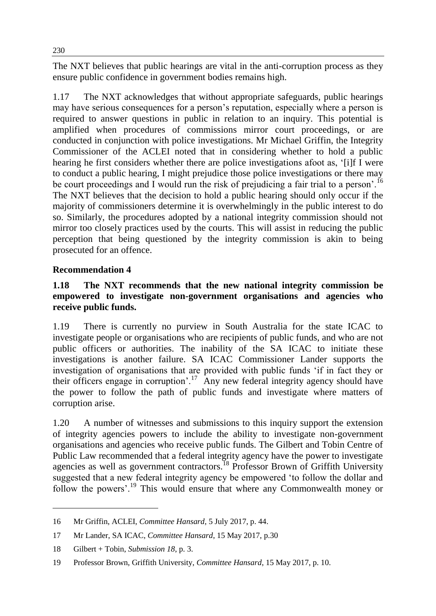The NXT believes that public hearings are vital in the anti-corruption process as they ensure public confidence in government bodies remains high.

1.17 The NXT acknowledges that without appropriate safeguards, public hearings may have serious consequences for a person's reputation, especially where a person is required to answer questions in public in relation to an inquiry. This potential is amplified when procedures of commissions mirror court proceedings, or are conducted in conjunction with police investigations. Mr Michael Griffin, the Integrity Commissioner of the ACLEI noted that in considering whether to hold a public hearing he first considers whether there are police investigations afoot as, '[i]f I were to conduct a public hearing, I might prejudice those police investigations or there may be court proceedings and I would run the risk of prejudicing a fair trial to a person'.<sup>16</sup> The NXT believes that the decision to hold a public hearing should only occur if the majority of commissioners determine it is overwhelmingly in the public interest to do so. Similarly, the procedures adopted by a national integrity commission should not mirror too closely practices used by the courts. This will assist in reducing the public perception that being questioned by the integrity commission is akin to being prosecuted for an offence.

## **Recommendation 4**

#### **1.18 The NXT recommends that the new national integrity commission be empowered to investigate non-government organisations and agencies who receive public funds.**

1.19 There is currently no purview in South Australia for the state ICAC to investigate people or organisations who are recipients of public funds, and who are not public officers or authorities. The inability of the SA ICAC to initiate these investigations is another failure. SA ICAC Commissioner Lander supports the investigation of organisations that are provided with public funds 'if in fact they or their officers engage in corruption'.<sup>17</sup> Any new federal integrity agency should have the power to follow the path of public funds and investigate where matters of corruption arise.

1.20 A number of witnesses and submissions to this inquiry support the extension of integrity agencies powers to include the ability to investigate non-government organisations and agencies who receive public funds. The Gilbert and Tobin Centre of Public Law recommended that a federal integrity agency have the power to investigate agencies as well as government contractors.<sup>18</sup> Professor Brown of Griffith University suggested that a new federal integrity agency be empowered 'to follow the dollar and follow the powers'.<sup>19</sup> This would ensure that where any Commonwealth money or

<sup>16</sup> Mr Griffin, ACLEI, *Committee Hansard*, 5 July 2017, p. 44.

<sup>17</sup> Mr Lander, SA ICAC, *Committee Hansard*, 15 May 2017, p.30

<sup>18</sup> Gilbert + Tobin, *Submission 18*, p. 3.

<sup>19</sup> Professor Brown, Griffith University, *Committee Hansard*, 15 May 2017, p. 10.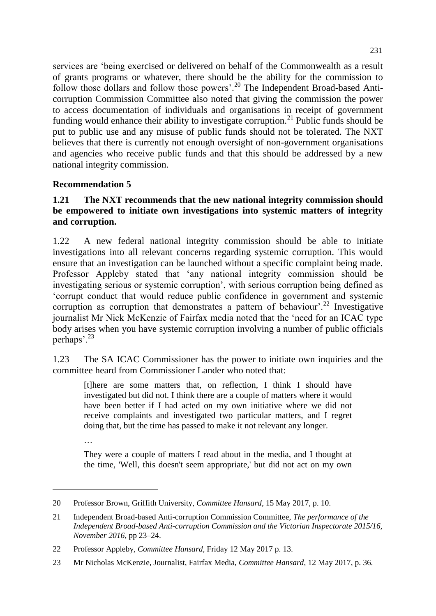services are 'being exercised or delivered on behalf of the Commonwealth as a result of grants programs or whatever, there should be the ability for the commission to follow those dollars and follow those powers'.<sup>20</sup> The Independent Broad-based Anticorruption Commission Committee also noted that giving the commission the power to access documentation of individuals and organisations in receipt of government funding would enhance their ability to investigate corruption.<sup>21</sup> Public funds should be put to public use and any misuse of public funds should not be tolerated. The NXT believes that there is currently not enough oversight of non-government organisations and agencies who receive public funds and that this should be addressed by a new national integrity commission.

## **Recommendation 5**

…

 $\overline{a}$ 

#### **1.21 The NXT recommends that the new national integrity commission should be empowered to initiate own investigations into systemic matters of integrity and corruption.**

1.22 A new federal national integrity commission should be able to initiate investigations into all relevant concerns regarding systemic corruption. This would ensure that an investigation can be launched without a specific complaint being made. Professor Appleby stated that 'any national integrity commission should be investigating serious or systemic corruption', with serious corruption being defined as 'corrupt conduct that would reduce public confidence in government and systemic corruption as corruption that demonstrates a pattern of behaviour'.<sup>22</sup> Investigative journalist Mr Nick McKenzie of Fairfax media noted that the 'need for an ICAC type body arises when you have systemic corruption involving a number of public officials perhaps'.<sup>23</sup>

1.23 The SA ICAC Commissioner has the power to initiate own inquiries and the committee heard from Commissioner Lander who noted that:

[t]here are some matters that, on reflection, I think I should have investigated but did not. I think there are a couple of matters where it would have been better if I had acted on my own initiative where we did not receive complaints and investigated two particular matters, and I regret doing that, but the time has passed to make it not relevant any longer.

They were a couple of matters I read about in the media, and I thought at the time, 'Well, this doesn't seem appropriate,' but did not act on my own

<sup>20</sup> Professor Brown, Griffith University, *Committee Hansard*, 15 May 2017, p. 10.

<sup>21</sup> Independent Broad-based Anti-corruption Commission Committee, *The performance of the Independent Broad-based Anti-corruption Commission and the Victorian Inspectorate 2015/16, November 2016*, pp 23–24.

<sup>22</sup> Professor Appleby, *Committee Hansard*, Friday 12 May 2017 p. 13.

<sup>23</sup> Mr Nicholas McKenzie, Journalist, Fairfax Media, *Committee Hansard*, 12 May 2017, p. 36.